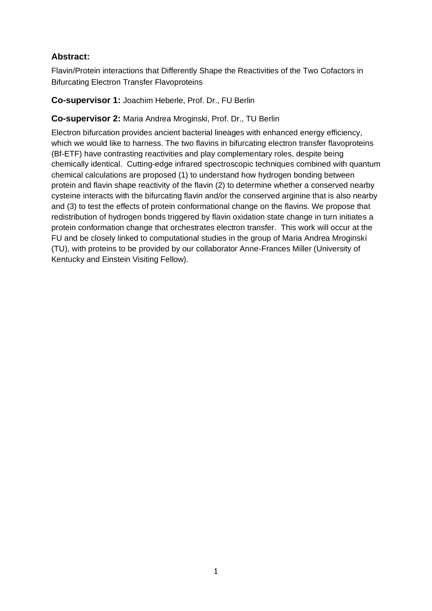# **Abstract:**

Flavin/Protein interactions that Differently Shape the Reactivities of the Two Cofactors in Bifurcating Electron Transfer Flavoproteins

**Co-supervisor 1:** Joachim Heberle, Prof. Dr., FU Berlin

## **Co-supervisor 2:** Maria Andrea Mroginski, Prof. Dr., TU Berlin

Electron bifurcation provides ancient bacterial lineages with enhanced energy efficiency, which we would like to harness. The two flavins in bifurcating electron transfer flavoproteins (Bf-ETF) have contrasting reactivities and play complementary roles, despite being chemically identical. Cutting-edge infrared spectroscopic techniques combined with quantum chemical calculations are proposed (1) to understand how hydrogen bonding between protein and flavin shape reactivity of the flavin (2) to determine whether a conserved nearby cysteine interacts with the bifurcating flavin and/or the conserved arginine that is also nearby and (3) to test the effects of protein conformational change on the flavins. We propose that redistribution of hydrogen bonds triggered by flavin oxidation state change in turn initiates a protein conformation change that orchestrates electron transfer. This work will occur at the FU and be closely linked to computational studies in the group of Maria Andrea Mroginski (TU), with proteins to be provided by our collaborator Anne-Frances Miller (University of Kentucky and Einstein Visiting Fellow).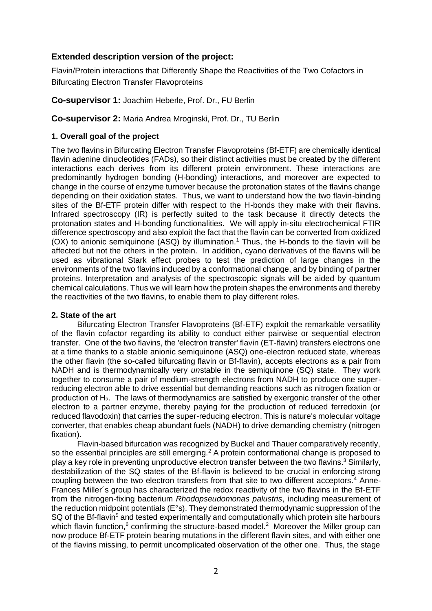## **Extended description version of the project:**

Flavin/Protein interactions that Differently Shape the Reactivities of the Two Cofactors in Bifurcating Electron Transfer Flavoproteins

**Co-supervisor 1:** Joachim Heberle, Prof. Dr., FU Berlin

**Co-supervisor 2:** Maria Andrea Mroginski, Prof. Dr., TU Berlin

#### **1. Overall goal of the project**

The two flavins in Bifurcating Electron Transfer Flavoproteins (Bf-ETF) are chemically identical flavin adenine dinucleotides (FADs), so their distinct activities must be created by the different interactions each derives from its different protein environment. These interactions are predominantly hydrogen bonding (H-bonding) interactions, and moreover are expected to change in the course of enzyme turnover because the protonation states of the flavins change depending on their oxidation states. Thus, we want to understand how the two flavin-binding sites of the Bf-ETF protein differ with respect to the H-bonds they make with their flavins. Infrared spectroscopy (IR) is perfectly suited to the task because it directly detects the protonation states and H-bonding functionalities. We will apply in-situ electrochemical FTIR difference spectroscopy and also exploit the fact that the flavin can be converted from oxidized  $(OX)$  to anionic semiquinone  $(ASQ)$  by illumination.<sup>1</sup> Thus, the H-bonds to the flavin will be affected but not the others in the protein. In addition, cyano derivatives of the flavins will be used as vibrational Stark effect probes to test the prediction of large changes in the environments of the two flavins induced by a conformational change, and by binding of partner proteins. Interpretation and analysis of the spectroscopic signals will be aided by quantum chemical calculations. Thus we will learn how the protein shapes the environments and thereby the reactivities of the two flavins, to enable them to play different roles.

#### **2. State of the art**

Bifurcating Electron Transfer Flavoproteins (Bf-ETF) exploit the remarkable versatility of the flavin cofactor regarding its ability to conduct either pairwise or sequential electron transfer. One of the two flavins, the 'electron transfer' flavin (ET-flavin) transfers electrons one at a time thanks to a stable anionic semiquinone (ASQ) one-electron reduced state, whereas the other flavin (the so-called bifurcating flavin or Bf-flavin), accepts electrons as a pair from NADH and is thermodynamically very *un*stable in the semiquinone (SQ) state. They work together to consume a pair of medium-strength electrons from NADH to produce one superreducing electron able to drive essential but demanding reactions such as nitrogen fixation or production of H<sub>2</sub>. The laws of thermodynamics are satisfied by exergonic transfer of the other electron to a partner enzyme, thereby paying for the production of reduced ferredoxin (or reduced flavodoxin) that carries the super-reducing electron. This is nature's molecular voltage converter, that enables cheap abundant fuels (NADH) to drive demanding chemistry (nitrogen fixation).

Flavin-based bifurcation was recognized by Buckel and Thauer comparatively recently, so the essential principles are still emerging.<sup>2</sup> A protein conformational change is proposed to play a key role in preventing unproductive electron transfer between the two flavins.<sup>3</sup> Similarly, destabilization of the SQ states of the Bf-flavin is believed to be crucial in enforcing strong coupling between the two electron transfers from that site to two different acceptors.<sup>4</sup> Anne-Frances Miller´s group has characterized the redox reactivity of the two flavins in the Bf-ETF from the nitrogen-fixing bacterium *Rhodopseudomonas palustris*, including measurement of the reduction midpoint potentials (E°s). They demonstrated thermodynamic suppression of the SQ of the Bf-flavin<sup>5</sup> and tested experimentally and computationally which protein site harbours which flavin function, $6$  confirming the structure-based model.<sup>2</sup> Moreover the Miller group can now produce Bf-ETF protein bearing mutations in the different flavin sites, and with either one of the flavins missing, to permit uncomplicated observation of the other one. Thus, the stage